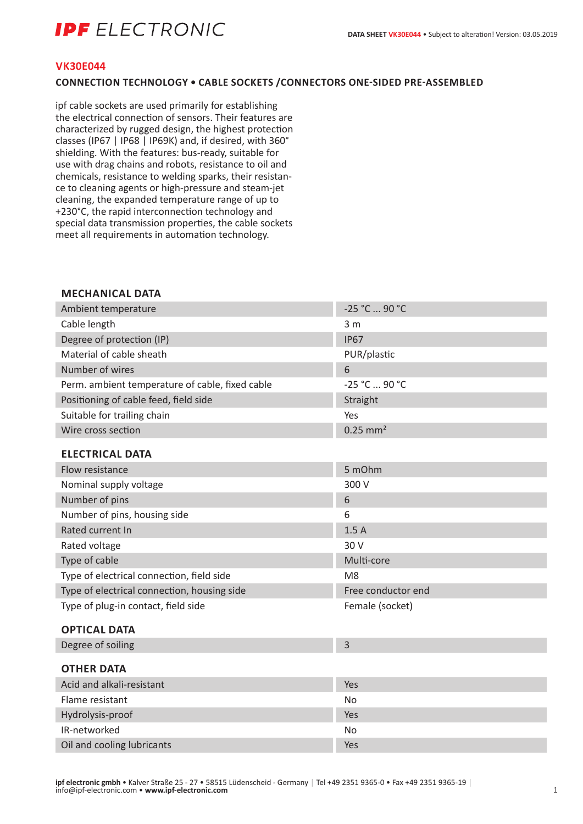# **IDF** FI FCTRONIC

#### **VK30E044**

## **CONNECTION TECHNOLOGY • CABLE SOCKETS /CONNECTORS ONE-SIDED PRE-ASSEMBLED**

ipf cable sockets are used primarily for establishing the electrical connection of sensors. Their features are characterized by rugged design, the highest protection classes (IP67 | IP68 | IP69K) and, if desired, with 360° shielding. With the features: bus-ready, suitable for use with drag chains and robots, resistance to oil and chemicals, resistance to welding sparks, their resistance to cleaning agents or high-pressure and steam-jet cleaning, the expanded temperature range of up to +230°C, the rapid interconnection technology and special data transmission properties, the cable sockets meet all requirements in automation technology.

#### **MECHANICAL DATA**

| Ambient temperature                             | -25 °C  90 °C          |
|-------------------------------------------------|------------------------|
| Cable length                                    | 3 <sub>m</sub>         |
| Degree of protection (IP)                       | <b>IP67</b>            |
| Material of cable sheath                        | PUR/plastic            |
| Number of wires                                 | 6                      |
| Perm. ambient temperature of cable, fixed cable | -25 °C  90 °C          |
| Positioning of cable feed, field side           | Straight               |
| Suitable for trailing chain                     | Yes                    |
| Wire cross section                              | $0.25$ mm <sup>2</sup> |
| <b>ELECTRICAL DATA</b>                          |                        |
| Flow resistance                                 | 5 mOhm                 |
| Nominal supply voltage                          | 300 V                  |
| Number of pins                                  | 6                      |
| Number of pins, housing side                    | 6                      |
| Rated current In                                | 1.5A                   |
| Rated voltage                                   | 30 V                   |
| Type of cable                                   | Multi-core             |
| Type of electrical connection, field side       | M <sub>8</sub>         |
| Type of electrical connection, housing side     | Free conductor end     |
| Type of plug-in contact, field side             | Female (socket)        |
| <b>OPTICAL DATA</b>                             |                        |
| Degree of soiling                               | 3                      |
| <b>OTHER DATA</b>                               |                        |
| Acid and alkali-resistant                       | Yes                    |
| Flame resistant                                 | No                     |
| Hydrolysis-proof                                | Yes                    |
| IR-networked                                    | No                     |
| Oil and cooling lubricants                      | Yes                    |